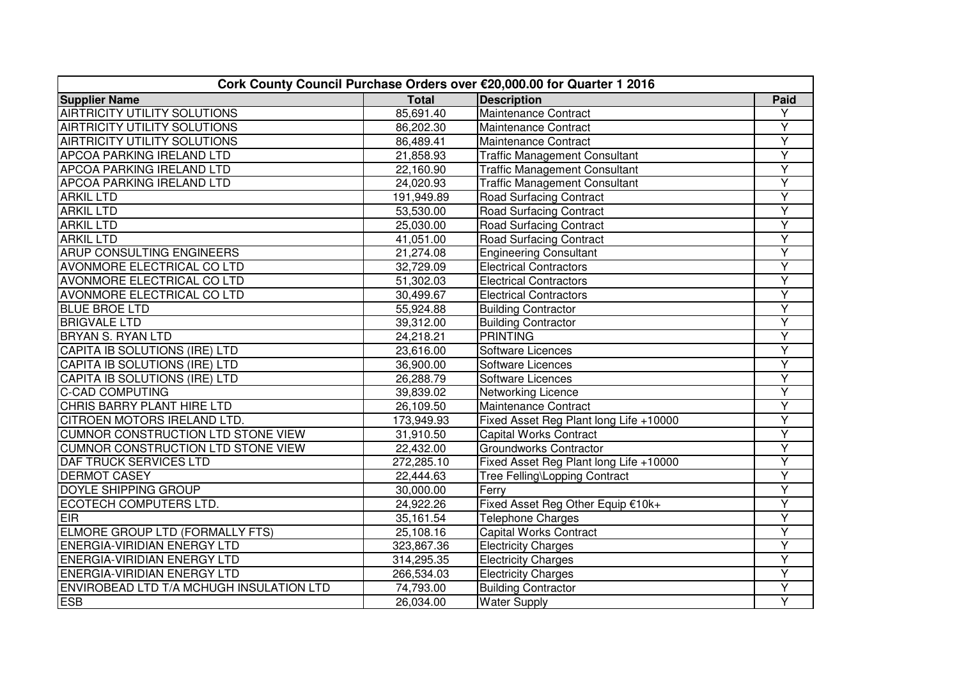| Cork County Council Purchase Orders over €20,000.00 for Quarter 1 2016 |              |                                        |                         |  |  |
|------------------------------------------------------------------------|--------------|----------------------------------------|-------------------------|--|--|
| <b>Supplier Name</b>                                                   | <b>Total</b> | <b>Description</b>                     | Paid                    |  |  |
| <b>AIRTRICITY UTILITY SOLUTIONS</b>                                    | 85,691.40    | <b>Maintenance Contract</b>            | Y                       |  |  |
| <b>AIRTRICITY UTILITY SOLUTIONS</b>                                    | 86,202.30    | Maintenance Contract                   | Y                       |  |  |
| <b>AIRTRICITY UTILITY SOLUTIONS</b>                                    | 86,489.41    | Maintenance Contract                   | $\overline{Y}$          |  |  |
| <b>APCOA PARKING IRELAND LTD</b>                                       | 21,858.93    | <b>Traffic Management Consultant</b>   | $\overline{Y}$          |  |  |
| <b>APCOA PARKING IRELAND LTD</b>                                       | 22,160.90    | <b>Traffic Management Consultant</b>   | $\overline{Y}$          |  |  |
| <b>APCOA PARKING IRELAND LTD</b>                                       | 24,020.93    | <b>Traffic Management Consultant</b>   | Ÿ                       |  |  |
| <b>ARKIL LTD</b>                                                       | 191,949.89   | <b>Road Surfacing Contract</b>         | Ÿ                       |  |  |
| <b>ARKIL LTD</b>                                                       | 53,530.00    | <b>Road Surfacing Contract</b>         | $\overline{Y}$          |  |  |
| <b>ARKIL LTD</b>                                                       | 25,030.00    | <b>Road Surfacing Contract</b>         | Ÿ                       |  |  |
| <b>ARKIL LTD</b>                                                       | 41,051.00    | <b>Road Surfacing Contract</b>         | $\overline{Y}$          |  |  |
| <b>ARUP CONSULTING ENGINEERS</b>                                       | 21,274.08    | <b>Engineering Consultant</b>          | $\overline{Y}$          |  |  |
| <b>AVONMORE ELECTRICAL CO LTD</b>                                      | 32,729.09    | <b>Electrical Contractors</b>          | $\overline{\mathsf{Y}}$ |  |  |
| <b>AVONMORE ELECTRICAL CO LTD</b>                                      | 51,302.03    | <b>Electrical Contractors</b>          | $\overline{Y}$          |  |  |
| <b>AVONMORE ELECTRICAL CO LTD</b>                                      | 30,499.67    | <b>Electrical Contractors</b>          | Υ                       |  |  |
| <b>BLUE BROE LTD</b>                                                   | 55,924.88    | <b>Building Contractor</b>             | Ÿ                       |  |  |
| <b>BRIGVALE LTD</b>                                                    | 39,312.00    | <b>Building Contractor</b>             | Y                       |  |  |
| <b>BRYAN S. RYAN LTD</b>                                               | 24,218.21    | PRINTING                               | Y                       |  |  |
| CAPITA IB SOLUTIONS (IRE) LTD                                          | 23,616.00    | Software Licences                      | $\overline{Y}$          |  |  |
| CAPITA IB SOLUTIONS (IRE) LTD                                          | 36,900.00    | Software Licences                      | Υ                       |  |  |
| CAPITA IB SOLUTIONS (IRE) LTD                                          | 26,288.79    | Software Licences                      | $\overline{Y}$          |  |  |
| <b>C-CAD COMPUTING</b>                                                 | 39,839.02    | <b>Networking Licence</b>              | $\overline{Y}$          |  |  |
| CHRIS BARRY PLANT HIRE LTD                                             | 26,109.50    | Maintenance Contract                   | Y                       |  |  |
| CITROEN MOTORS IRELAND LTD.                                            | 173,949.93   | Fixed Asset Reg Plant long Life +10000 | $\overline{\mathsf{Y}}$ |  |  |
| CUMNOR CONSTRUCTION LTD STONE VIEW                                     | 31,910.50    | <b>Capital Works Contract</b>          | Ÿ                       |  |  |
| CUMNOR CONSTRUCTION LTD STONE VIEW                                     | 22,432.00    | Groundworks Contractor                 | $\overline{Y}$          |  |  |
| <b>DAF TRUCK SERVICES LTD</b>                                          | 272,285.10   | Fixed Asset Reg Plant long Life +10000 | Ÿ                       |  |  |
| <b>DERMOT CASEY</b>                                                    | 22,444.63    | Tree Felling\Lopping Contract          | Ÿ                       |  |  |
| <b>DOYLE SHIPPING GROUP</b>                                            | 30,000.00    | Ferry                                  | $\overline{Y}$          |  |  |
| <b>ECOTECH COMPUTERS LTD.</b>                                          | 24,922.26    | Fixed Asset Reg Other Equip €10k+      | $\overline{Y}$          |  |  |
| <b>EIR</b>                                                             | 35,161.54    | <b>Telephone Charges</b>               | Y                       |  |  |
| ELMORE GROUP LTD (FORMALLY FTS)                                        | 25,108.16    | <b>Capital Works Contract</b>          | Y                       |  |  |
| <b>ENERGIA-VIRIDIAN ENERGY LTD</b>                                     | 323,867.36   | <b>Electricity Charges</b>             | Ÿ                       |  |  |
| <b>ENERGIA-VIRIDIAN ENERGY LTD</b>                                     | 314,295.35   | <b>Electricity Charges</b>             | $\overline{Y}$          |  |  |
| <b>ENERGIA-VIRIDIAN ENERGY LTD</b>                                     | 266,534.03   | <b>Electricity Charges</b>             | Y                       |  |  |
| ENVIROBEAD LTD T/A MCHUGH INSULATION LTD                               | 74,793.00    | <b>Building Contractor</b>             | Y                       |  |  |
| <b>ESB</b>                                                             | 26,034.00    | <b>Water Supply</b>                    | $\overline{Y}$          |  |  |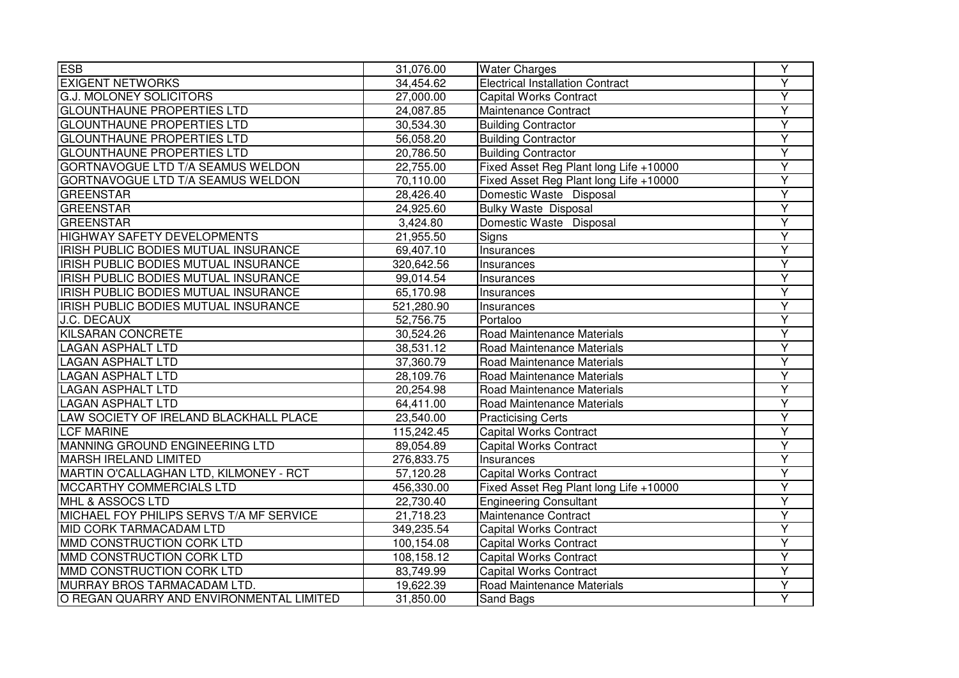| <b>ESB</b>                               | 31,076.00  | <b>Water Charges</b>                    | $\overline{Y}$          |
|------------------------------------------|------------|-----------------------------------------|-------------------------|
| <b>EXIGENT NETWORKS</b>                  | 34,454.62  | <b>Electrical Installation Contract</b> | Y                       |
| <b>G.J. MOLONEY SOLICITORS</b>           | 27,000.00  | <b>Capital Works Contract</b>           | Y                       |
| <b>GLOUNTHAUNE PROPERTIES LTD</b>        | 24,087.85  | Maintenance Contract                    | $\overline{\mathsf{Y}}$ |
| <b>GLOUNTHAUNE PROPERTIES LTD</b>        | 30,534.30  | <b>Building Contractor</b>              | $\overline{Y}$          |
| <b>GLOUNTHAUNE PROPERTIES LTD</b>        | 56,058.20  | <b>Building Contractor</b>              | Ÿ                       |
| <b>GLOUNTHAUNE PROPERTIES LTD</b>        | 20,786.50  | <b>Building Contractor</b>              | Ÿ                       |
| GORTNAVOGUE LTD T/A SEAMUS WELDON        | 22,755.00  | Fixed Asset Reg Plant long Life +10000  | Y                       |
| GORTNAVOGUE LTD T/A SEAMUS WELDON        | 70,110.00  | Fixed Asset Reg Plant long Life +10000  | Y                       |
| <b>GREENSTAR</b>                         | 28,426.40  | Domestic Waste Disposal                 | Ÿ                       |
| <b>GREENSTAR</b>                         | 24,925.60  | <b>Bulky Waste Disposal</b>             | $\overline{Y}$          |
| <b>GREENSTAR</b>                         | 3,424.80   | Domestic Waste Disposal                 | Ÿ                       |
| <b>HIGHWAY SAFETY DEVELOPMENTS</b>       | 21,955.50  | Signs                                   | $\overline{\mathsf{Y}}$ |
| IRISH PUBLIC BODIES MUTUAL INSURANCE     | 69,407.10  | Insurances                              | $\overline{\mathsf{Y}}$ |
| IRISH PUBLIC BODIES MUTUAL INSURANCE     | 320,642.56 | Insurances                              | $\overline{Y}$          |
| IRISH PUBLIC BODIES MUTUAL INSURANCE     | 99,014.54  | Insurances                              | $\overline{Y}$          |
| IRISH PUBLIC BODIES MUTUAL INSURANCE     | 65,170.98  | Insurances                              | Y                       |
| IRISH PUBLIC BODIES MUTUAL INSURANCE     | 521,280.90 | Insurances                              | Y                       |
| J.C. DECAUX                              | 52,756.75  | Portaloo                                | Υ                       |
| <b>KILSARAN CONCRETE</b>                 | 30,524.26  | Road Maintenance Materials              | Y                       |
| <b>LAGAN ASPHALT LTD</b>                 | 38,531.12  | Road Maintenance Materials              | Ÿ                       |
| <b>LAGAN ASPHALT LTD</b>                 | 37,360.79  | Road Maintenance Materials              | Y                       |
| <b>LAGAN ASPHALT LTD</b>                 | 28,109.76  | Road Maintenance Materials              | Ÿ                       |
| <b>LAGAN ASPHALT LTD</b>                 | 20,254.98  | Road Maintenance Materials              | Ÿ                       |
| <b>LAGAN ASPHALT LTD</b>                 | 64,411.00  | Road Maintenance Materials              | Y                       |
| LAW SOCIETY OF IRELAND BLACKHALL PLACE   | 23,540.00  | <b>Practicising Certs</b>               | Ÿ                       |
| <b>LCF MARINE</b>                        | 115,242.45 | <b>Capital Works Contract</b>           | Y                       |
| MANNING GROUND ENGINEERING LTD           | 89,054.89  | <b>Capital Works Contract</b>           | Υ                       |
| <b>MARSH IRELAND LIMITED</b>             | 276,833.75 | Insurances                              | $\overline{\mathsf{Y}}$ |
| MARTIN O'CALLAGHAN LTD, KILMONEY - RCT   | 57,120.28  | <b>Capital Works Contract</b>           | Ÿ                       |
| MCCARTHY COMMERCIALS LTD                 | 456,330.00 | Fixed Asset Reg Plant long Life +10000  | $\overline{Y}$          |
| MHL & ASSOCS LTD                         | 22,730.40  | <b>Engineering Consultant</b>           | $\overline{\mathsf{Y}}$ |
| MICHAEL FOY PHILIPS SERVS T/A MF SERVICE | 21,718.23  | Maintenance Contract                    | $\overline{\mathsf{Y}}$ |
| MID CORK TARMACADAM LTD                  | 349,235.54 | <b>Capital Works Contract</b>           | Y                       |
| MMD CONSTRUCTION CORK LTD                | 100,154.08 | <b>Capital Works Contract</b>           | $\overline{Y}$          |
| MMD CONSTRUCTION CORK LTD                | 108,158.12 | <b>Capital Works Contract</b>           | Y                       |
| MMD CONSTRUCTION CORK LTD                | 83,749.99  | <b>Capital Works Contract</b>           | Y                       |
| MURRAY BROS TARMACADAM LTD.              | 19,622.39  | Road Maintenance Materials              | Y                       |
| O REGAN QUARRY AND ENVIRONMENTAL LIMITED | 31,850.00  | Sand Bags                               | $\overline{Y}$          |